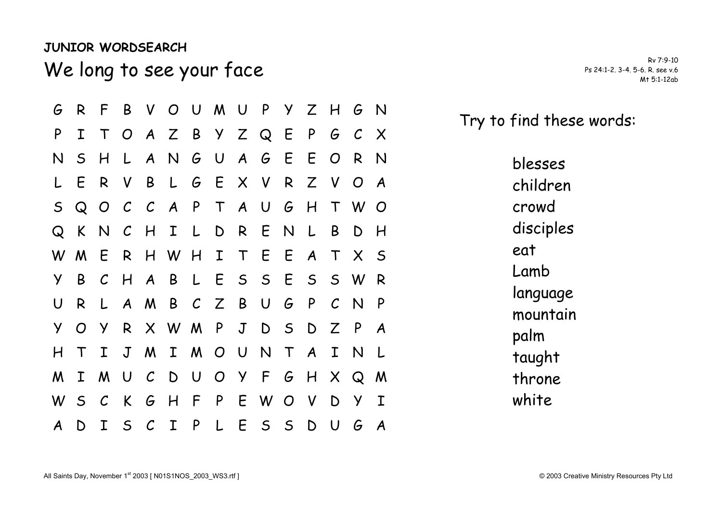## **JUNIOR WORDSEARCH**

We long to see your face Research Research Ps 24:1-2. 3-4. 5-6. R. see v.6 RV 7:9-10

G R F B V O U M U P Y Z H G N P I T O A Z B Y Z Q E P G C X N S H L A N G U A G E E O R NL E R V B L G E X V R Z V O A S Q O C C A P T A U G H T W O Q K N C H I L D R E N L B D H W M F R H W H I T F F A T X S Y B C H A B L E S S E S S W R U R L A M B C Z B U G P C N P Y O Y R X W M P J D S D Z P A H T I J M I M O U N T A I N L M I M U C D U O Y F G H X Q M W S C K G H F P E W O V D Y I A D I S C I P L E S S D U G A

Try to find these words:

blesses children crowd disciples eat Lamb language mountain palm taught throne white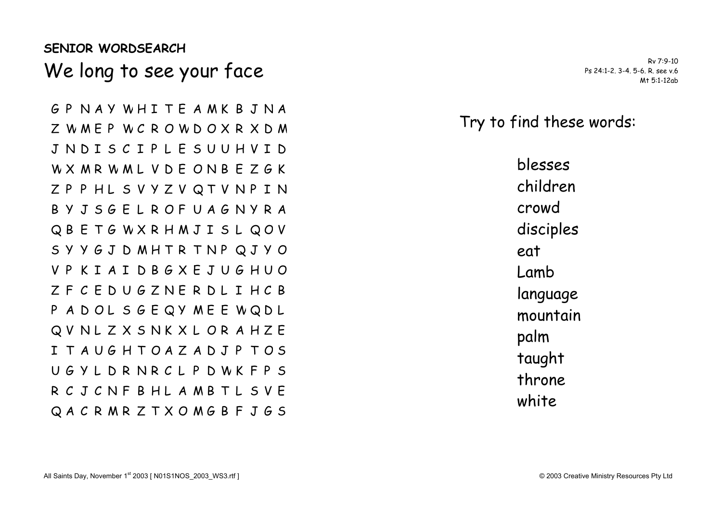## **SENIOR WORDSEARCH**  We long to see your face Research Research Ps 24:1-2. 3-4. 5-6. R. see v.6 RV 7:9-10

G P N A Y W H I T E A M KBJ N A Z W M E P W C R O W D O X R X D M J N D I S C I P L E S U U H V I D W X M R W M L V D E O N B E Z G K Z P P H L S V Y Z V Q T V N P I N B Y J S G E L R O F U A G N Y R A Q B E T G W X R H M J I S L Q O V S Y Y G J D M H T R T N P Q JYO V P K I A I D B G X E J U G H U O Z F C E D U G Z N E R D L I H C B P A D O L S G E Q Y M E E W Q D L Q V N L Z X S N K X L O R A H Z E I T A U G H T O A Z A D J P T O S U G Y L D R N R C L P D W KFPS R C J C N F B H L A M B T L S V E Q A C R M R Z T X O M G B F J G S

Try to find these words:

blesses children crowd disciples eat Lamb language mountain palm taught throne white